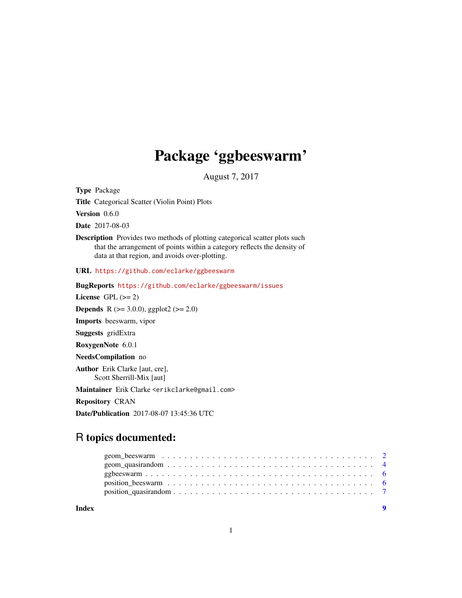## Package 'ggbeeswarm'

August 7, 2017

<span id="page-0-0"></span>Type Package

Title Categorical Scatter (Violin Point) Plots

Version 0.6.0

Date 2017-08-03

Description Provides two methods of plotting categorical scatter plots such that the arrangement of points within a category reflects the density of data at that region, and avoids over-plotting.

URL <https://github.com/eclarke/ggbeeswarm>

BugReports <https://github.com/eclarke/ggbeeswarm/issues> License GPL  $(>= 2)$ **Depends** R ( $>= 3.0.0$ ), ggplot2 ( $>= 2.0$ ) Imports beeswarm, vipor Suggests gridExtra RoxygenNote 6.0.1 NeedsCompilation no Author Erik Clarke [aut, cre], Scott Sherrill-Mix [aut] Maintainer Erik Clarke <erikclarke@gmail.com> Repository CRAN Date/Publication 2017-08-07 13:45:36 UTC

### R topics documented: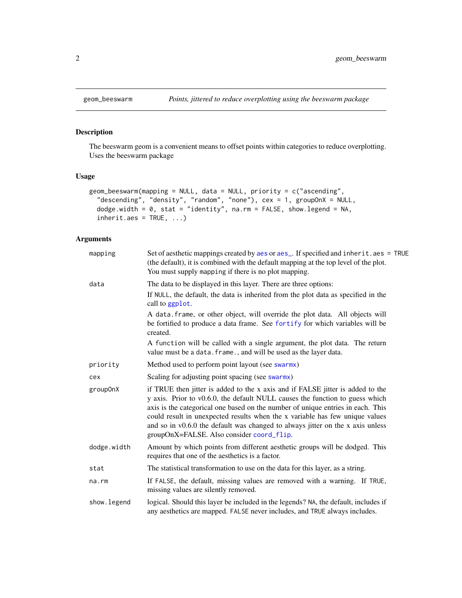<span id="page-1-0"></span>

#### Description

The beeswarm geom is a convenient means to offset points within categories to reduce overplotting. Uses the beeswarm package

#### Usage

```
geom_beeswarm(mapping = NULL, data = NULL, priority = c("ascending",
  "descending", "density", "random", "none"), cex = 1, groupOnX = NULL,
 dodge.width = 0, stat = "identity", na.rm = FALSE, show.legend = NA,
  inherit.aes = TRUE, ...
```
#### Arguments

| mapping      | Set of aesthetic mappings created by aes or aes_. If specified and inherit.aes = TRUE<br>(the default), it is combined with the default mapping at the top level of the plot.<br>You must supply mapping if there is no plot mapping.                                                                                                                                                                                                                            |
|--------------|------------------------------------------------------------------------------------------------------------------------------------------------------------------------------------------------------------------------------------------------------------------------------------------------------------------------------------------------------------------------------------------------------------------------------------------------------------------|
| data         | The data to be displayed in this layer. There are three options:                                                                                                                                                                                                                                                                                                                                                                                                 |
|              | If NULL, the default, the data is inherited from the plot data as specified in the<br>call to ggplot.                                                                                                                                                                                                                                                                                                                                                            |
|              | A data. frame, or other object, will override the plot data. All objects will<br>be fortified to produce a data frame. See fortify for which variables will be<br>created.                                                                                                                                                                                                                                                                                       |
|              | A function will be called with a single argument, the plot data. The return<br>value must be a data. frame., and will be used as the layer data.                                                                                                                                                                                                                                                                                                                 |
| priority     | Method used to perform point layout (see swarmx)                                                                                                                                                                                                                                                                                                                                                                                                                 |
| cex          | Scaling for adjusting point spacing (see swarmx)                                                                                                                                                                                                                                                                                                                                                                                                                 |
| group0nX     | if TRUE then jitter is added to the x axis and if FALSE jitter is added to the<br>y axis. Prior to v0.6.0, the default NULL causes the function to guess which<br>axis is the categorical one based on the number of unique entries in each. This<br>could result in unexpected results when the x variable has few unique values<br>and so in v0.6.0 the default was changed to always jitter on the x axis unless<br>groupOnX=FALSE. Also consider coord_flip. |
| dodge.width  | Amount by which points from different aesthetic groups will be dodged. This<br>requires that one of the aesthetics is a factor.                                                                                                                                                                                                                                                                                                                                  |
| stat         | The statistical transformation to use on the data for this layer, as a string.                                                                                                                                                                                                                                                                                                                                                                                   |
| na.rm        | If FALSE, the default, missing values are removed with a warning. If TRUE,<br>missing values are silently removed.                                                                                                                                                                                                                                                                                                                                               |
| show. legend | logical. Should this layer be included in the legends? NA, the default, includes if<br>any aesthetics are mapped. FALSE never includes, and TRUE always includes.                                                                                                                                                                                                                                                                                                |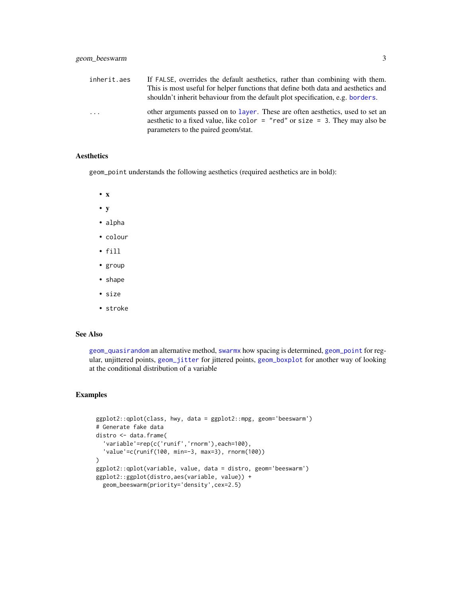<span id="page-2-0"></span>

| inherit.aes | If FALSE, overrides the default aesthetics, rather than combining with them.<br>This is most useful for helper functions that define both data and aesthetics and<br>shouldn't inherit behaviour from the default plot specification, e.g. borders. |
|-------------|-----------------------------------------------------------------------------------------------------------------------------------------------------------------------------------------------------------------------------------------------------|
| $\ddots$ .  | other arguments passed on to layer. These are often aesthetics, used to set an<br>aesthetic to a fixed value, like color = "red" or size = 3. They may also be<br>parameters to the paired geom/stat.                                               |

#### Aesthetics

geom\_point understands the following aesthetics (required aesthetics are in bold):

- x
- y
- alpha
- colour
- fill
- group
- shape
- size
- stroke

#### See Also

[geom\\_quasirandom](#page-3-1) an alternative method, [swarmx](#page-0-0) how spacing is determined, [geom\\_point](#page-0-0) for regular, unjittered points, [geom\\_jitter](#page-0-0) for jittered points, [geom\\_boxplot](#page-0-0) for another way of looking at the conditional distribution of a variable

#### Examples

```
ggplot2::qplot(class, hwy, data = ggplot2::mpg, geom='beeswarm')
# Generate fake data
distro <- data.frame(
  'variable'=rep(c('runif','rnorm'),each=100),
  'value'=c(runif(100, min=-3, max=3), rnorm(100))
)
ggplot2::qplot(variable, value, data = distro, geom='beeswarm')
ggplot2::ggplot(distro,aes(variable, value)) +
 geom_beeswarm(priority='density',cex=2.5)
```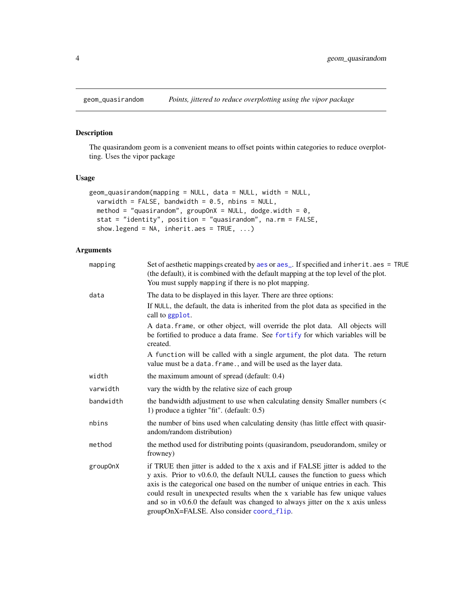<span id="page-3-1"></span><span id="page-3-0"></span>

#### Description

The quasirandom geom is a convenient means to offset points within categories to reduce overplotting. Uses the vipor package

#### Usage

```
geom_quasirandom(mapping = NULL, data = NULL, width = NULL,
 varwidth = FALSE, bandwidth = 0.5, nbins = NULL,
 method = "quasirandom", groupOnX = NULL, dodge.width = 0,
 stat = "identity", position = "quasirandom", na.rm = FALSE,
  show.legend = NA, inherit.aes = TRUE, ...)
```
#### Arguments

| mapping   | Set of aesthetic mappings created by aes or aes_. If specified and inherit.aes = TRUE<br>(the default), it is combined with the default mapping at the top level of the plot.<br>You must supply mapping if there is no plot mapping.                                                                                                                                                                                                                            |
|-----------|------------------------------------------------------------------------------------------------------------------------------------------------------------------------------------------------------------------------------------------------------------------------------------------------------------------------------------------------------------------------------------------------------------------------------------------------------------------|
| data      | The data to be displayed in this layer. There are three options:                                                                                                                                                                                                                                                                                                                                                                                                 |
|           | If NULL, the default, the data is inherited from the plot data as specified in the<br>call to ggplot.                                                                                                                                                                                                                                                                                                                                                            |
|           | A data. frame, or other object, will override the plot data. All objects will<br>be fortified to produce a data frame. See fortify for which variables will be<br>created.                                                                                                                                                                                                                                                                                       |
|           | A function will be called with a single argument, the plot data. The return<br>value must be a data. frame., and will be used as the layer data.                                                                                                                                                                                                                                                                                                                 |
| width     | the maximum amount of spread (default: 0.4)                                                                                                                                                                                                                                                                                                                                                                                                                      |
| varwidth  | vary the width by the relative size of each group                                                                                                                                                                                                                                                                                                                                                                                                                |
| bandwidth | the bandwidth adjustment to use when calculating density Smaller numbers (<<br>1) produce a tighter "fit". (default: 0.5)                                                                                                                                                                                                                                                                                                                                        |
| nbins     | the number of bins used when calculating density (has little effect with quasir-<br>andom/random distribution)                                                                                                                                                                                                                                                                                                                                                   |
| method    | the method used for distributing points (quasirandom, pseudorandom, smiley or<br>frowney)                                                                                                                                                                                                                                                                                                                                                                        |
| group0nX  | if TRUE then jitter is added to the x axis and if FALSE jitter is added to the<br>y axis. Prior to v0.6.0, the default NULL causes the function to guess which<br>axis is the categorical one based on the number of unique entries in each. This<br>could result in unexpected results when the x variable has few unique values<br>and so in v0.6.0 the default was changed to always jitter on the x axis unless<br>groupOnX=FALSE. Also consider coord_flip. |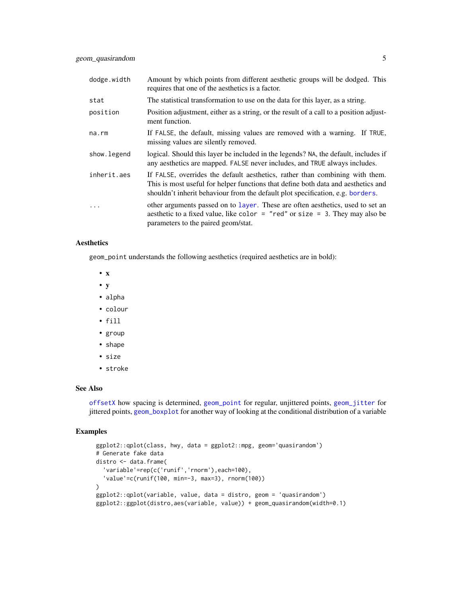<span id="page-4-0"></span>

| dodge.width  | Amount by which points from different aesthetic groups will be dodged. This<br>requires that one of the aesthetics is a factor.                                                                                                                     |
|--------------|-----------------------------------------------------------------------------------------------------------------------------------------------------------------------------------------------------------------------------------------------------|
| stat         | The statistical transformation to use on the data for this layer, as a string.                                                                                                                                                                      |
| position     | Position adjustment, either as a string, or the result of a call to a position adjust-<br>ment function.                                                                                                                                            |
| na.rm        | If FALSE, the default, missing values are removed with a warning. If TRUE,<br>missing values are silently removed.                                                                                                                                  |
| show. legend | logical. Should this layer be included in the legends? NA, the default, includes if<br>any aesthetics are mapped. FALSE never includes, and TRUE always includes.                                                                                   |
| inherit.aes  | If FALSE, overrides the default aesthetics, rather than combining with them.<br>This is most useful for helper functions that define both data and aesthetics and<br>shouldn't inherit behaviour from the default plot specification, e.g. borders. |
|              | other arguments passed on to layer. These are often aesthetics, used to set an<br>aesthetic to a fixed value, like color = "red" or size = 3. They may also be<br>parameters to the paired geom/stat.                                               |

#### Aesthetics

geom\_point understands the following aesthetics (required aesthetics are in bold):

- x
- y
- alpha
- colour
- fill
- group
- shape
- size
- stroke

#### See Also

[offsetX](#page-0-0) how spacing is determined, [geom\\_point](#page-0-0) for regular, unjittered points, [geom\\_jitter](#page-0-0) for jittered points, [geom\\_boxplot](#page-0-0) for another way of looking at the conditional distribution of a variable

#### Examples

```
ggplot2::qplot(class, hwy, data = ggplot2::mpg, geom='quasirandom')
# Generate fake data
distro <- data.frame(
  'variable'=rep(c('runif','rnorm'),each=100),
  'value'=c(runif(100, min=-3, max=3), rnorm(100))
)
ggplot2::qplot(variable, value, data = distro, geom = 'quasirandom')
ggplot2::ggplot(distro,aes(variable, value)) + geom_quasirandom(width=0.1)
```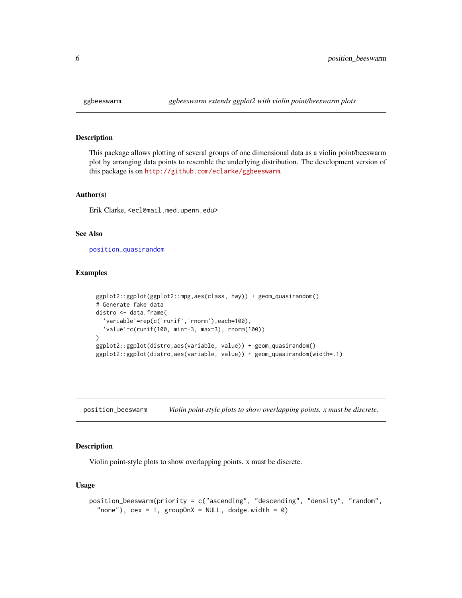#### Description

This package allows plotting of several groups of one dimensional data as a violin point/beeswarm plot by arranging data points to resemble the underlying distribution. The development version of this package is on <http://github.com/eclarke/ggbeeswarm>.

#### Author(s)

Erik Clarke, <ecl@mail.med.upenn.edu>

#### See Also

[position\\_quasirandom](#page-6-1)

#### Examples

```
ggplot2::ggplot(ggplot2::mpg,aes(class, hwy)) + geom_quasirandom()
# Generate fake data
distro <- data.frame(
  'variable'=rep(c('runif','rnorm'),each=100),
  'value'=c(runif(100, min=-3, max=3), rnorm(100))
\lambdaggplot2::ggplot(distro,aes(variable, value)) + geom_quasirandom()
ggplot2::ggplot(distro,aes(variable, value)) + geom_quasirandom(width=.1)
```
<span id="page-5-1"></span>position\_beeswarm *Violin point-style plots to show overlapping points. x must be discrete.*

#### Description

Violin point-style plots to show overlapping points. x must be discrete.

#### Usage

```
position_beeswarm(priority = c("ascending", "descending", "density", "random",
  "none"), cex = 1, groupOnX = NULL, dodge.width = 0)
```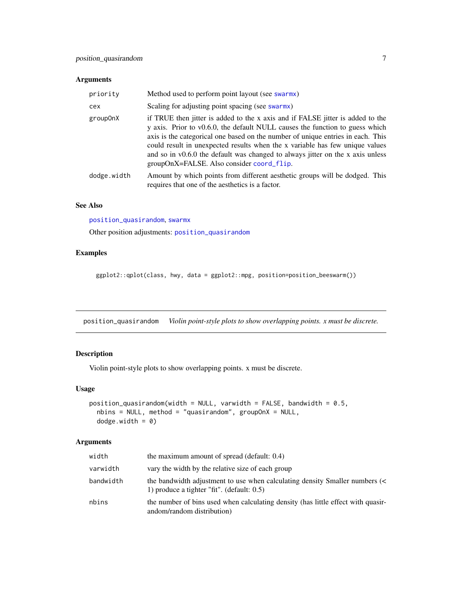#### <span id="page-6-0"></span>Arguments

| priority    | Method used to perform point layout (see swarmx)                                                                                                                                                                                                                                                                                                                                                                                                                 |
|-------------|------------------------------------------------------------------------------------------------------------------------------------------------------------------------------------------------------------------------------------------------------------------------------------------------------------------------------------------------------------------------------------------------------------------------------------------------------------------|
| cex         | Scaling for adjusting point spacing (see swarmx)                                                                                                                                                                                                                                                                                                                                                                                                                 |
| group0nX    | if TRUE then jitter is added to the x axis and if FALSE jitter is added to the<br>y axis. Prior to v0.6.0, the default NULL causes the function to guess which<br>axis is the categorical one based on the number of unique entries in each. This<br>could result in unexpected results when the x variable has few unique values<br>and so in v0.6.0 the default was changed to always jitter on the x axis unless<br>groupOnX=FALSE. Also consider coord_flip. |
| dodge.width | Amount by which points from different aesthetic groups will be dodged. This<br>requires that one of the aesthetics is a factor.                                                                                                                                                                                                                                                                                                                                  |

#### See Also

[position\\_quasirandom](#page-6-1), [swarmx](#page-0-0)

Other position adjustments: [position\\_quasirandom](#page-6-1)

#### Examples

ggplot2::qplot(class, hwy, data = ggplot2::mpg, position=position\_beeswarm())

<span id="page-6-1"></span>position\_quasirandom *Violin point-style plots to show overlapping points. x must be discrete.*

#### Description

Violin point-style plots to show overlapping points. x must be discrete.

#### Usage

```
position_quasirandom(width = NULL, varwidth = FALSE, bandwidth = 0.5,
 nbins = NULL, method = "quasirandom", groupOnX = NULL,
  dodge.width = 0)
```
#### Arguments

| width     | the maximum amount of spread (default: 0.4)                                                                                  |
|-----------|------------------------------------------------------------------------------------------------------------------------------|
| varwidth  | vary the width by the relative size of each group                                                                            |
| bandwidth | the bandwidth adjustment to use when calculating density Smaller numbers (<<br>1) produce a tighter "fit". (default: $0.5$ ) |
| nbins     | the number of bins used when calculating density (has little effect with quasir-<br>andom/random distribution)               |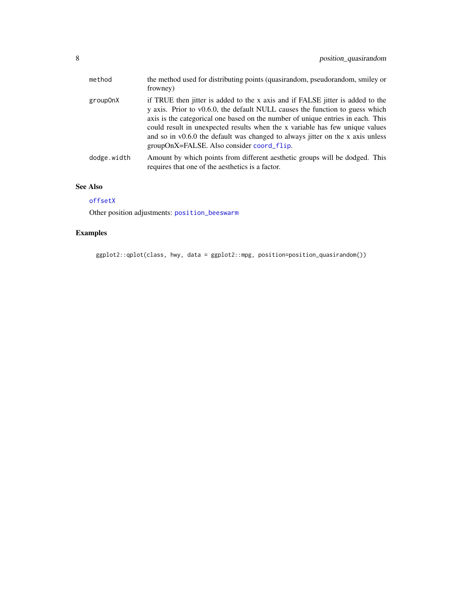<span id="page-7-0"></span>

| method      | the method used for distributing points (quasirandom, pseudorandom, smiley or<br>frowney)                                                                                                                                                                                                                                                                                                                                                                        |
|-------------|------------------------------------------------------------------------------------------------------------------------------------------------------------------------------------------------------------------------------------------------------------------------------------------------------------------------------------------------------------------------------------------------------------------------------------------------------------------|
| group0nX    | if TRUE then jitter is added to the x axis and if FALSE jitter is added to the<br>y axis. Prior to v0.6.0, the default NULL causes the function to guess which<br>axis is the categorical one based on the number of unique entries in each. This<br>could result in unexpected results when the x variable has few unique values<br>and so in v0.6.0 the default was changed to always jitter on the x axis unless<br>groupOnX=FALSE. Also consider coord_flip. |
| dodge.width | Amount by which points from different aesthetic groups will be dodged. This<br>requires that one of the aesthetics is a factor.                                                                                                                                                                                                                                                                                                                                  |

#### See Also

#### [offsetX](#page-0-0)

Other position adjustments: [position\\_beeswarm](#page-5-1)

#### Examples

ggplot2::qplot(class, hwy, data = ggplot2::mpg, position=position\_quasirandom())